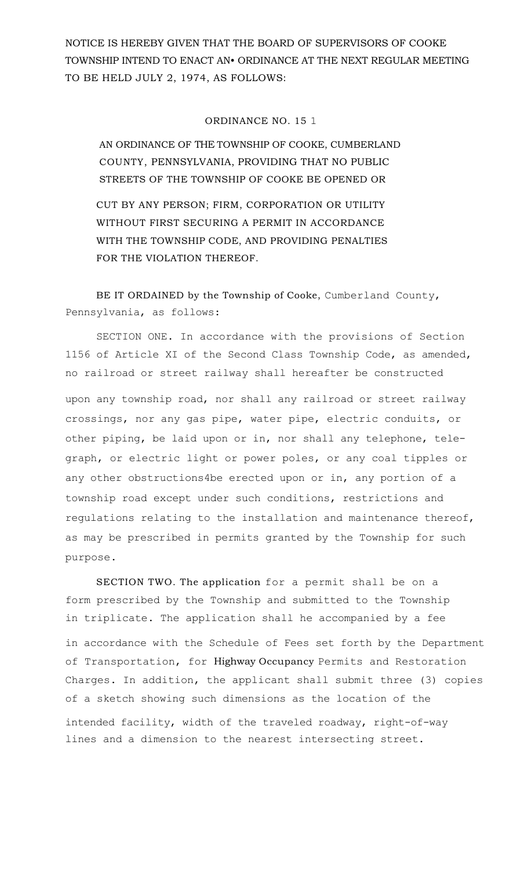NOTICE IS HEREBY GIVEN THAT THE BOARD OF SUPERVISORS OF COOKE TOWNSHIP INTEND TO ENACT AN• ORDINANCE AT THE NEXT REGULAR MEETING TO BE HELD JULY 2, 1974, AS FOLLOWS:

## ORDINANCE NO. 15 1

AN ORDINANCE OF THE TOWNSHIP OF COOKE, CUMBERLAND COUNTY, PENNSYLVANIA, PROVIDING THAT NO PUBLIC STREETS OF THE TOWNSHIP OF COOKE BE OPENED OR

CUT BY ANY PERSON; FIRM, CORPORATION OR UTILITY WITHOUT FIRST SECURING A PERMIT IN ACCORDANCE WITH THE TOWNSHIP CODE, AND PROVIDING PENALTIES FOR THE VIOLATION THEREOF.

## BE IT ORDAINED by the Township of Cooke, Cumberland County, Pennsylvania, as follows:

SECTION ONE. In accordance with the provisions of Section 1156 of Article XI of the Second Class Township Code, as amended, no railroad or street railway shall hereafter be constructed upon any township road, nor shall any railroad or street railway crossings, nor any gas pipe, water pipe, electric conduits, or other piping, be laid upon or in, nor shall any telephone, telegraph, or electric light or power poles, or any coal tipples or any other obstructions4be erected upon or in, any portion of a township road except under such conditions, restrictions and regulations relating to the installation and maintenance thereof, as may be prescribed in permits granted by the Township for such purpose.

SECTION TWO. The application for a permit shall be on a form prescribed by the Township and submitted to the Township in triplicate. The application shall he accompanied by a fee in accordance with the Schedule of Fees set forth by the Department of Transportation, for Highway Occupancy Permits and Restoration Charges. In addition, the applicant shall submit three (3) copies of a sketch showing such dimensions as the location of the intended facility, width of the traveled roadway, right-of-way lines and a dimension to the nearest intersecting street.